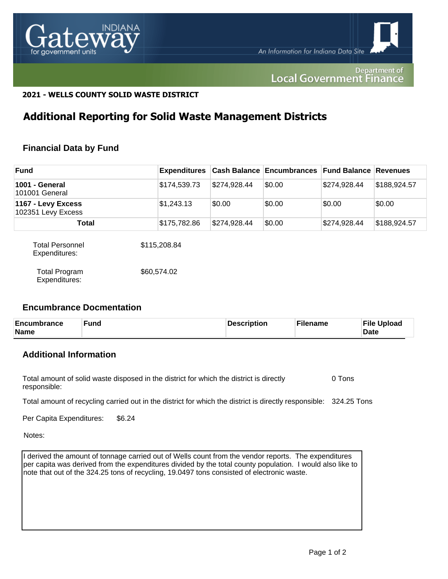

#### Department of **Local Government Finance**

#### **2021 - WELLS COUNTY SOLID WASTE DISTRICT**

## **Additional Reporting for Solid Waste Management Districts**

#### **Financial Data by Fund**

| <b>Fund</b>                              | <b>Expenditures</b> |              | <b>Cash Balance Encumbrances Fund Balance Revenues</b> |              |              |
|------------------------------------------|---------------------|--------------|--------------------------------------------------------|--------------|--------------|
| 1001 - General<br>101001 General         | \$174,539.73        | \$274,928.44 | \$0.00                                                 | \$274,928.44 | \$188,924.57 |
| 1167 - Levy Excess<br>102351 Levy Excess | \$1,243.13          | \$0.00       | \$0.00                                                 | \$0.00       | \$0.00       |
| Total                                    | \$175,782.86        | \$274,928.44 | \$0.00                                                 | \$274,928.44 | \$188,924.57 |
| Total Personnel<br>Expenditures:         | \$115,208.84        |              |                                                        |              |              |

| Total Program | \$60,574.02 |
|---------------|-------------|
| Expenditures: |             |

#### **Encumbrance Docmentation**

| Encumbrance<br>Name | Fund | Description | Filename | <b>File Upload</b><br><b>Date</b> |
|---------------------|------|-------------|----------|-----------------------------------|
|---------------------|------|-------------|----------|-----------------------------------|

### **Additional Information**

Total amount of solid waste disposed in the district for which the district is directly responsible: 0 Tons

Total amount of recycling carried out in the district for which the district is directly responsible: 324.25 Tons

Per Capita Expenditures: \$6.24

Notes:

I derived the amount of tonnage carried out of Wells count from the vendor reports. The expenditures per capita was derived from the expenditures divided by the total county population. I would also like to note that out of the 324.25 tons of recycling, 19.0497 tons consisted of electronic waste.